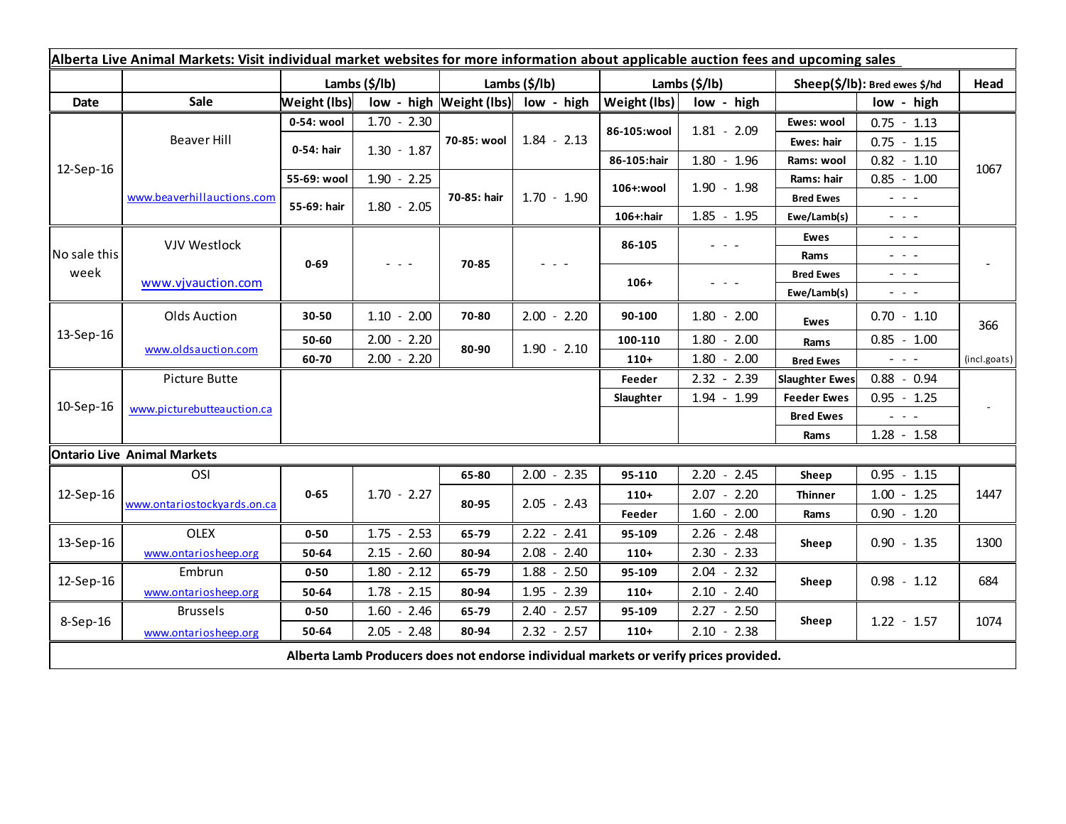| Alberta Live Animal Markets: Visit individual market websites for more information about applicable auction fees and upcoming sales |                             |                           |                                                                                   |               |                                    |               |                                                                 |                               |                                             |              |
|-------------------------------------------------------------------------------------------------------------------------------------|-----------------------------|---------------------------|-----------------------------------------------------------------------------------|---------------|------------------------------------|---------------|-----------------------------------------------------------------|-------------------------------|---------------------------------------------|--------------|
|                                                                                                                                     |                             | Lambs $(\frac{2}{3})$ lb) |                                                                                   | Lambs (\$/lb) |                                    | Lambs (\$/lb) |                                                                 | Sheep(\$/lb): Bred ewes \$/hd |                                             | Head         |
| Date                                                                                                                                | <b>Sale</b>                 | Weight (lbs)              |                                                                                   |               | low - high Weight (lbs) low - high | Weight (lbs)  | low - high                                                      |                               | low - high                                  |              |
| 12-Sep-16                                                                                                                           | Beaver Hill                 | 0-54: wool                | $1.70 - 2.30$                                                                     | 70-85: wool   | $1.84 - 2.13$                      | 86-105:wool   | $1.81 - 2.09$                                                   | Ewes: wool                    | $0.75 - 1.13$                               | 1067         |
|                                                                                                                                     |                             | 0-54: hair                | $1.30 - 1.87$                                                                     |               |                                    |               |                                                                 | Ewes: hair                    | $0.75 - 1.15$                               |              |
|                                                                                                                                     |                             |                           |                                                                                   |               |                                    | 86-105:hair   | $1.80 - 1.96$                                                   | Rams: wool                    | $0.82 - 1.10$                               |              |
|                                                                                                                                     | www.beaverhillauctions.com  | 55-69: wool               | $1.90 - 2.25$                                                                     | 70-85: hair   | $1.70 - 1.90$                      | 106+:wool     | $1.90 - 1.98$                                                   | Rams: hair                    | $0.85 - 1.00$                               |              |
|                                                                                                                                     |                             | 55-69: hair               | $1.80 - 2.05$                                                                     |               |                                    |               |                                                                 | <b>Bred Ewes</b>              | $\omega_{\rm{eff}}$ , $\omega_{\rm{eff}}$   |              |
|                                                                                                                                     |                             |                           |                                                                                   |               |                                    | 106+:hair     | $1.85 - 1.95$                                                   | Ewe/Lamb(s)                   | $\omega_{\rm{max}}$ and $\omega_{\rm{max}}$ |              |
| No sale this<br>week                                                                                                                | <b>VJV Westlock</b>         | $0 - 69$                  | $\frac{1}{2} \left( \frac{1}{2} \right) = \frac{1}{2} \left( \frac{1}{2} \right)$ | 70-85         |                                    | 86-105        | $\omega_{\rm{eff}}$ , $\omega_{\rm{eff}}$ , $\omega_{\rm{eff}}$ | Ewes                          | $  -$                                       |              |
|                                                                                                                                     |                             |                           |                                                                                   |               |                                    |               |                                                                 | Rams                          | $  -$                                       |              |
|                                                                                                                                     | www.vjvauction.com          |                           |                                                                                   |               |                                    | $106+$        | $  -$                                                           | <b>Bred Ewes</b>              | $  -$                                       |              |
|                                                                                                                                     |                             |                           |                                                                                   |               |                                    |               |                                                                 | Ewe/Lamb(s)                   | $  -$                                       |              |
| 13-Sep-16                                                                                                                           | Olds Auction                | 30-50                     | $1.10 - 2.00$                                                                     | 70-80         | $2.00 - 2.20$                      | 90-100        | $1.80 - 2.00$                                                   | <b>Ewes</b>                   | $0.70 - 1.10$                               | 366          |
|                                                                                                                                     | www.oldsauction.com         | 50-60                     | $2.00 - 2.20$                                                                     | 80-90         | $1.90 - 2.10$                      | 100-110       | $1.80 - 2.00$                                                   | Rams                          | $0.85 - 1.00$                               |              |
|                                                                                                                                     |                             | 60-70                     | $2.00 - 2.20$                                                                     |               |                                    | $110+$        | $1.80 - 2.00$                                                   | <b>Bred Ewes</b>              | $\omega_{\rm{max}}$                         | (incl.goats) |
| 10-Sep-16                                                                                                                           | Picture Butte               |                           |                                                                                   |               |                                    |               | $2.32 - 2.39$                                                   | <b>Slaughter Ewes</b>         | $0.88 - 0.94$                               |              |
|                                                                                                                                     | www.picturebutteauction.ca  |                           |                                                                                   |               |                                    | Slaughter     | $1.94 - 1.99$                                                   | <b>Feeder Ewes</b>            | $0.95 - 1.25$                               |              |
|                                                                                                                                     |                             |                           |                                                                                   |               |                                    |               |                                                                 | <b>Bred Ewes</b>              |                                             |              |
|                                                                                                                                     |                             |                           |                                                                                   |               |                                    |               |                                                                 | Rams                          | $1.28 - 1.58$                               |              |
| <b>Ontario Live Animal Markets</b>                                                                                                  |                             |                           |                                                                                   |               |                                    |               |                                                                 |                               |                                             |              |
| 12-Sep-16                                                                                                                           | OSI                         |                           |                                                                                   | 65-80         | $2.00 - 2.35$                      | 95-110        | $2.20 - 2.45$                                                   | Sheep                         | $0.95 - 1.15$                               |              |
|                                                                                                                                     | www.ontariostockyards.on.ca | $0 - 65$                  | $1.70 - 2.27$                                                                     | 80-95         | $2.05 - 2.43$                      | $110+$        | $2.07 - 2.20$                                                   | <b>Thinner</b>                | $1.00 - 1.25$                               | 1447         |
|                                                                                                                                     |                             |                           |                                                                                   |               |                                    | Feeder        | $1.60 - 2.00$                                                   | Rams                          | $0.90 - 1.20$                               |              |
| 13-Sep-16                                                                                                                           | <b>OLEX</b>                 | $0 - 50$                  | $1.75 - 2.53$                                                                     | 65-79         | $2.22 - 2.41$                      | 95-109        | $2.26 - 2.48$                                                   | Sheep                         | $0.90 - 1.35$                               | 1300         |
|                                                                                                                                     | www.ontariosheep.org        | 50-64                     | $2.15 - 2.60$                                                                     | 80-94         | $2.08 - 2.40$                      | $110+$        | $2.30 - 2.33$                                                   |                               |                                             |              |
| 12-Sep-16                                                                                                                           | Embrun                      | $0 - 50$                  | $1.80 - 2.12$                                                                     | 65-79         | $1.88 - 2.50$                      | 95-109        | $2.04 - 2.32$                                                   | Sheep                         | $0.98 - 1.12$                               | 684          |
|                                                                                                                                     | www.ontariosheep.org        | 50-64                     | $1.78 - 2.15$                                                                     | 80-94         | $1.95 - 2.39$                      | $110+$        | $2.10 - 2.40$                                                   |                               |                                             |              |
| 8-Sep-16                                                                                                                            | <b>Brussels</b>             | $0 - 50$                  | $1.60 - 2.46$                                                                     | 65-79         | $2.40 - 2.57$                      | 95-109        | $2.27 - 2.50$                                                   | Sheep                         | $1.22 - 1.57$                               | 1074         |
|                                                                                                                                     | www.ontariosheep.org        | 50-64                     | $2.05 - 2.48$                                                                     | 80-94         | $2.32 - 2.57$                      | $110+$        | $2.10 - 2.38$                                                   |                               |                                             |              |
| Alberta Lamb Producers does not endorse individual markets or verify prices provided.                                               |                             |                           |                                                                                   |               |                                    |               |                                                                 |                               |                                             |              |